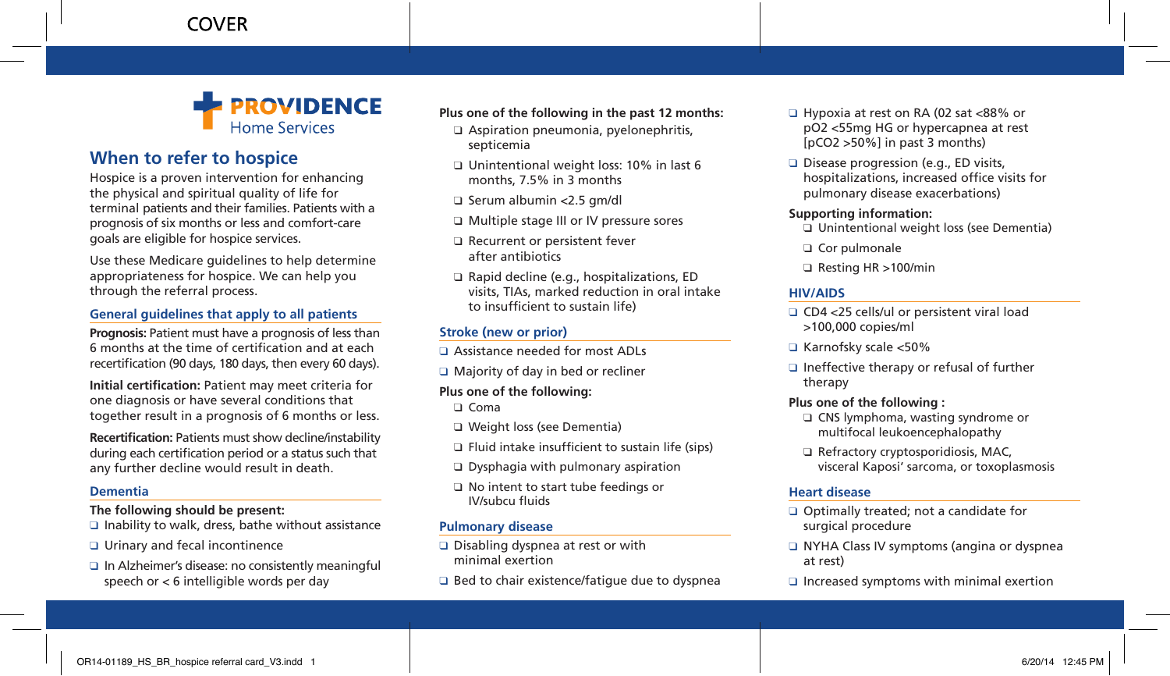

# **When to refer to hospice**

Hospice is a proven intervention for enhancing the physical and spiritual quality of life for terminal patients and their families. Patients with a prognosis of six months or less and comfort-care goals are eligible for hospice services.

Use these Medicare guidelines to help determine appropriateness for hospice. We can help you through the referral process.

### **General guidelines that apply to all patients**

**Prognosis:** Patient must have a prognosis of less than 6 months at the time of certification and at each recertification (90 days, 180 days, then every 60 days).

**Initial certification:** Patient may meet criteria for one diagnosis or have several conditions that together result in a prognosis of 6 months or less.

**Recertification:** Patients must show decline/instability during each certification period or a status such that any further decline would result in death.

#### **Dementia**

**The following should be present:**

- □ Inability to walk, dress, bathe without assistance
- ❑ Urinary and fecal incontinence
- □ In Alzheimer's disease: no consistently meaningful speech or < 6 intelligible words per day

#### **Plus one of the following in the past 12 months:**

- □ Aspiration pneumonia, pyelonephritis, septicemia
- ❑ Unintentional weight loss: 10% in last 6 months, 7.5% in 3 months
- □ Serum albumin <2.5 gm/dl
- □ Multiple stage III or IV pressure sores
- □ Recurrent or persistent fever after antibiotics
- □ Rapid decline (e.g., hospitalizations, ED visits, TIAs, marked reduction in oral intake to insufficient to sustain life)

# **Stroke (new or prior)**

- □ Assistance needed for most ADLs
- □ Majority of day in bed or recliner

#### **Plus one of the following:**

❑ Coma

- ❑ Weight loss (see Dementia)
- ❑ Fluid intake insufficient to sustain life (sips)
- ❑ Dysphagia with pulmonary aspiration
- ❑ No intent to start tube feedings or IV/subcu fluids

### **Pulmonary disease**

- □ Disabling dyspnea at rest or with minimal exertion
- $\Box$  Bed to chair existence/fatigue due to dyspnea
- ❑ Hypoxia at rest on RA (02 sat <88% or pO2 <55mg HG or hypercapnea at rest [pCO2 >50%] in past 3 months)
- □ Disease progression (e.g., ED visits, hospitalizations, increased office visits for pulmonary disease exacerbations)

### **Supporting information:**

- ❑ Unintentional weight loss (see Dementia)
- ❑ Cor pulmonale
- ❑ Resting HR >100/min

# **HIV/AIDS**

- □ CD4 <25 cells/ul or persistent viral load >100,000 copies/ml
- ❑ Karnofsky scale <50%
- $\Box$  Ineffective therapy or refusal of further therapy

### **Plus one of the following :**

- ❑ CNS lymphoma, wasting syndrome or multifocal leukoencephalopathy
- ❑ Refractory cryptosporidiosis, MAC, visceral Kaposi' sarcoma, or toxoplasmosis

# **Heart disease**

- ❑ Optimally treated; not a candidate for surgical procedure
- □ NYHA Class IV symptoms (angina or dyspnea at rest)
- □ Increased symptoms with minimal exertion